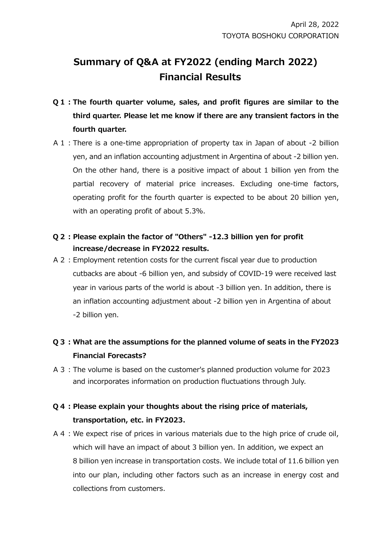# **Summary of Q&A at FY2022 (ending March 2022) Financial Results**

- **Q1:The fourth quarter volume, sales, and profit figures are similar to the third quarter. Please let me know if there are any transient factors in the fourth quarter.**
- A1:There is a one-time appropriation of property tax in Japan of about -2 billion yen, and an inflation accounting adjustment in Argentina of about -2 billion yen. On the other hand, there is a positive impact of about 1 billion yen from the partial recovery of material price increases. Excluding one-time factors, operating profit for the fourth quarter is expected to be about 20 billion yen, with an operating profit of about 5.3%.

#### **Q2:Please explain the factor of "Others" -12.3 billion yen for profit increase/decrease in FY2022 results.**

A2:Employment retention costs for the current fiscal year due to production cutbacks are about -6 billion yen, and subsidy of COVID-19 were received last year in various parts of the world is about -3 billion yen. In addition, there is an inflation accounting adjustment about -2 billion yen in Argentina of about -2 billion yen.

### **Q3:What are the assumptions for the planned volume of seats in the FY2023 Financial Forecasts?**

A3:The volume is based on the customer's planned production volume for 2023 and incorporates information on production fluctuations through July.

### **Q4:Please explain your thoughts about the rising price of materials, transportation, etc. in FY2023.**

A4:We expect rise of prices in various materials due to the high price of crude oil, which will have an impact of about 3 billion yen. In addition, we expect an 8 billion yen increase in transportation costs. We include total of 11.6 billion yen into our plan, including other factors such as an increase in energy cost and collections from customers.